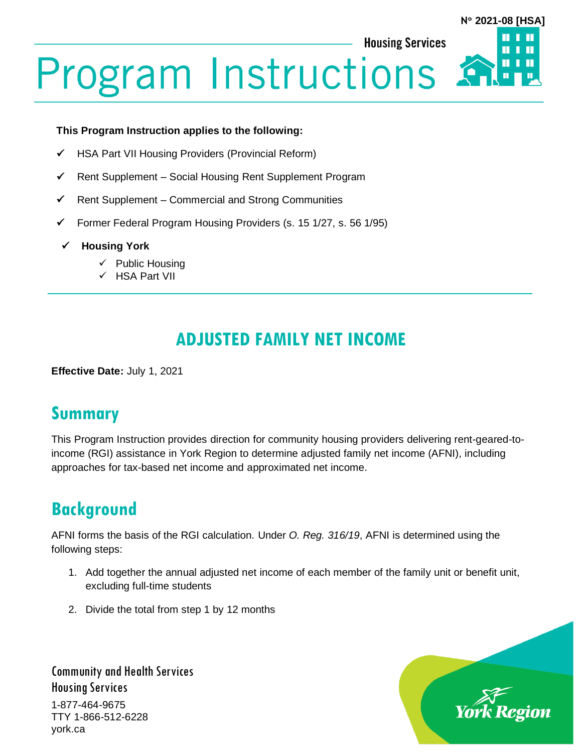**N 2021-08 [HSA]**

**Housing Services** 

# **Program Instructions**

# Ш П

#### **This Program Instruction applies to the following:**

- ✓ HSA Part VII Housing Providers (Provincial Reform)
- ✓ Rent Supplement Social Housing Rent Supplement Program
- $\checkmark$  Rent Supplement Commercial and Strong Communities
- ✓ Former Federal Program Housing Providers (s. 15 1/27, s. 56 1/95)
- ✓ **Housing York**
	- ✓ Public Housing
	- ✓ HSA Part VII

# **ADJUSTED FAMILY NET INCOME**

**Effective Date:** July 1, 2021

# **Summary**

This Program Instruction provides direction for community housing providers delivering rent-geared-toincome (RGI) assistance in York Region to determine adjusted family net income (AFNI), including approaches for tax-based net income and approximated net income.

# **Background**

AFNI forms the basis of the RGI calculation. Under *O. Reg. 316/19*, AFNI is determined using the following steps:

- 1. Add together the annual adjusted net income of each member of the family unit or benefit unit, excluding full-time students
- 2. Divide the total from step 1 by 12 months

Community and Health Services Housing Services 1-877-464-9675 TTY 1-866-512-6228 york.ca

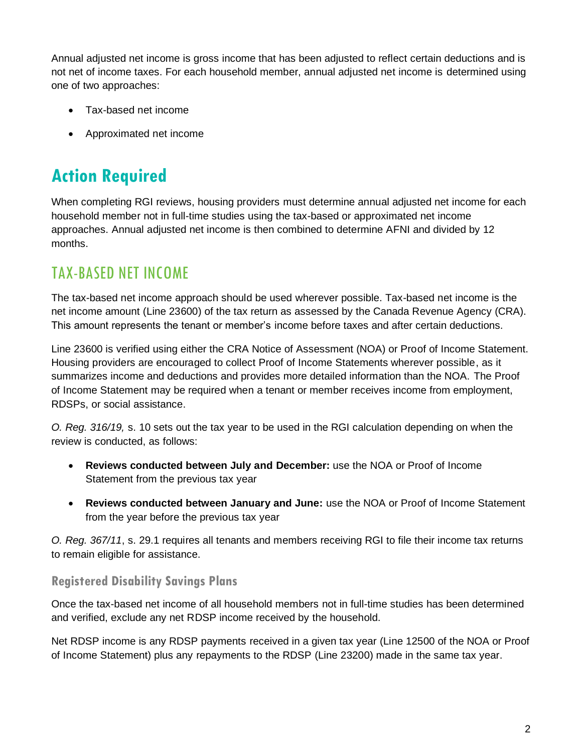Annual adjusted net income is gross income that has been adjusted to reflect certain deductions and is not net of income taxes. For each household member, annual adjusted net income is determined using one of two approaches:

- Tax-based net income
- Approximated net income

# **Action Required**

When completing RGI reviews, housing providers must determine annual adjusted net income for each household member not in full-time studies using the tax-based or approximated net income approaches. Annual adjusted net income is then combined to determine AFNI and divided by 12 months.

## TAX-BASED NET INCOME

The tax-based net income approach should be used wherever possible. Tax-based net income is the net income amount (Line 23600) of the tax return as assessed by the Canada Revenue Agency (CRA). This amount represents the tenant or member's income before taxes and after certain deductions.

Line 23600 is verified using either the CRA Notice of Assessment (NOA) or Proof of Income Statement. Housing providers are encouraged to collect Proof of Income Statements wherever possible, as it summarizes income and deductions and provides more detailed information than the NOA. The Proof of Income Statement may be required when a tenant or member receives income from employment, RDSPs, or social assistance.

*O. Reg. 316/19,* s. 10 sets out the tax year to be used in the RGI calculation depending on when the review is conducted, as follows:

- **Reviews conducted between July and December:** use the NOA or Proof of Income Statement from the previous tax year
- **Reviews conducted between January and June:** use the NOA or Proof of Income Statement from the year before the previous tax year

*O. Reg. 367/11*, s. 29.1 requires all tenants and members receiving RGI to file their income tax returns to remain eligible for assistance.

#### **Registered Disability Savings Plans**

Once the tax-based net income of all household members not in full-time studies has been determined and verified, exclude any net RDSP income received by the household.

Net RDSP income is any RDSP payments received in a given tax year (Line 12500 of the NOA or Proof of Income Statement) plus any repayments to the RDSP (Line 23200) made in the same tax year.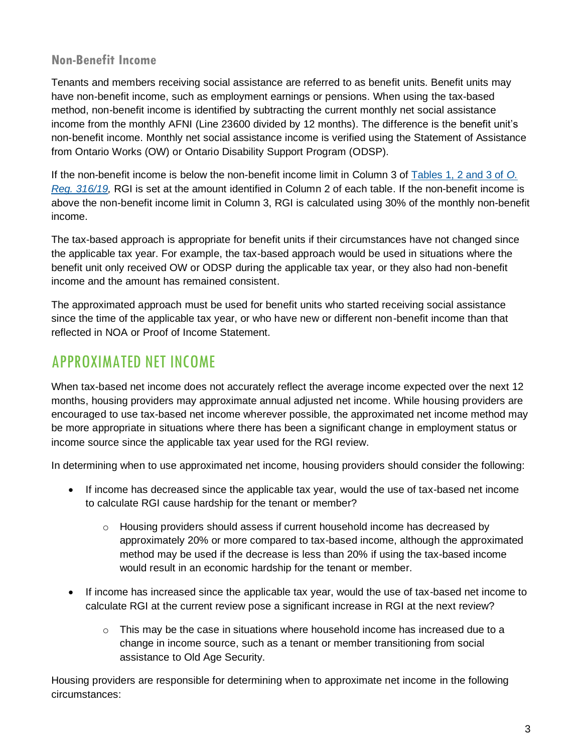#### **Non-Benefit Income**

Tenants and members receiving social assistance are referred to as benefit units. Benefit units may have non-benefit income, such as employment earnings or pensions. When using the tax-based method, non-benefit income is identified by subtracting the current monthly net social assistance income from the monthly AFNI (Line 23600 divided by 12 months). The difference is the benefit unit's non-benefit income. Monthly net social assistance income is verified using the Statement of Assistance from Ontario Works (OW) or Ontario Disability Support Program (ODSP).

If the non-benefit income is below the non-benefit income limit in Column 3 of [Tables 1, 2 and 3 of](https://www.ontario.ca/laws/regulation/r19316#BK11) *O. [Reg. 316/19,](https://www.ontario.ca/laws/regulation/r19316#BK11)* RGI is set at the amount identified in Column 2 of each table. If the non-benefit income is above the non-benefit income limit in Column 3, RGI is calculated using 30% of the monthly non-benefit income.

The tax-based approach is appropriate for benefit units if their circumstances have not changed since the applicable tax year. For example, the tax-based approach would be used in situations where the benefit unit only received OW or ODSP during the applicable tax year, or they also had non-benefit income and the amount has remained consistent.

The approximated approach must be used for benefit units who started receiving social assistance since the time of the applicable tax year, or who have new or different non-benefit income than that reflected in NOA or Proof of Income Statement.

### APPROXIMATED NET INCOME

When tax-based net income does not accurately reflect the average income expected over the next 12 months, housing providers may approximate annual adjusted net income. While housing providers are encouraged to use tax-based net income wherever possible, the approximated net income method may be more appropriate in situations where there has been a significant change in employment status or income source since the applicable tax year used for the RGI review.

In determining when to use approximated net income, housing providers should consider the following:

- If income has decreased since the applicable tax year, would the use of tax-based net income to calculate RGI cause hardship for the tenant or member?
	- $\circ$  Housing providers should assess if current household income has decreased by approximately 20% or more compared to tax-based income, although the approximated method may be used if the decrease is less than 20% if using the tax-based income would result in an economic hardship for the tenant or member.
- If income has increased since the applicable tax year, would the use of tax-based net income to calculate RGI at the current review pose a significant increase in RGI at the next review?
	- $\circ$  This may be the case in situations where household income has increased due to a change in income source, such as a tenant or member transitioning from social assistance to Old Age Security.

Housing providers are responsible for determining when to approximate net income in the following circumstances: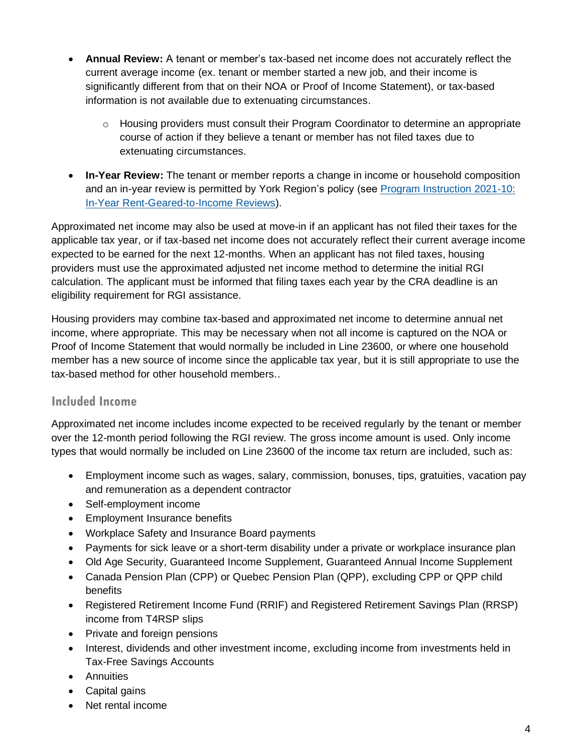- **Annual Review:** A tenant or member's tax-based net income does not accurately reflect the current average income (ex. tenant or member started a new job, and their income is significantly different from that on their NOA or Proof of Income Statement), or tax-based information is not available due to extenuating circumstances.
	- $\circ$  Housing providers must consult their Program Coordinator to determine an appropriate course of action if they believe a tenant or member has not filed taxes due to extenuating circumstances.
- **In-Year Review:** The tenant or member reports a change in income or household composition and an in-year review is permitted by York Region's policy (see [Program Instruction 2021-10:](https://www.york.ca/wps/wcm/connect/yorkpublic/838a89ee-5e29-4c21-93ef-be270adf8ab8/PI-2021-10-In-Year-Rent-Geared-to-Income-Reviews.pdf?MOD=AJPERES)  [In-Year Rent-Geared-to-Income Reviews\)](https://www.york.ca/wps/wcm/connect/yorkpublic/838a89ee-5e29-4c21-93ef-be270adf8ab8/PI-2021-10-In-Year-Rent-Geared-to-Income-Reviews.pdf?MOD=AJPERES).

Approximated net income may also be used at move-in if an applicant has not filed their taxes for the applicable tax year, or if tax-based net income does not accurately reflect their current average income expected to be earned for the next 12-months. When an applicant has not filed taxes, housing providers must use the approximated adjusted net income method to determine the initial RGI calculation. The applicant must be informed that filing taxes each year by the CRA deadline is an eligibility requirement for RGI assistance.

Housing providers may combine tax-based and approximated net income to determine annual net income, where appropriate. This may be necessary when not all income is captured on the NOA or Proof of Income Statement that would normally be included in Line 23600, or where one household member has a new source of income since the applicable tax year, but it is still appropriate to use the tax-based method for other household members..

#### **Included Income**

Approximated net income includes income expected to be received regularly by the tenant or member over the 12-month period following the RGI review. The gross income amount is used. Only income types that would normally be included on Line 23600 of the income tax return are included, such as:

- Employment income such as wages, salary, commission, bonuses, tips, gratuities, vacation pay and remuneration as a dependent contractor
- Self-employment income
- Employment Insurance benefits
- Workplace Safety and Insurance Board payments
- Payments for sick leave or a short-term disability under a private or workplace insurance plan
- Old Age Security, Guaranteed Income Supplement, Guaranteed Annual Income Supplement
- Canada Pension Plan (CPP) or Quebec Pension Plan (QPP), excluding CPP or QPP child benefits
- Registered Retirement Income Fund (RRIF) and Registered Retirement Savings Plan (RRSP) income from T4RSP slips
- Private and foreign pensions
- Interest, dividends and other investment income, excluding income from investments held in Tax-Free Savings Accounts
- Annuities
- Capital gains
- Net rental income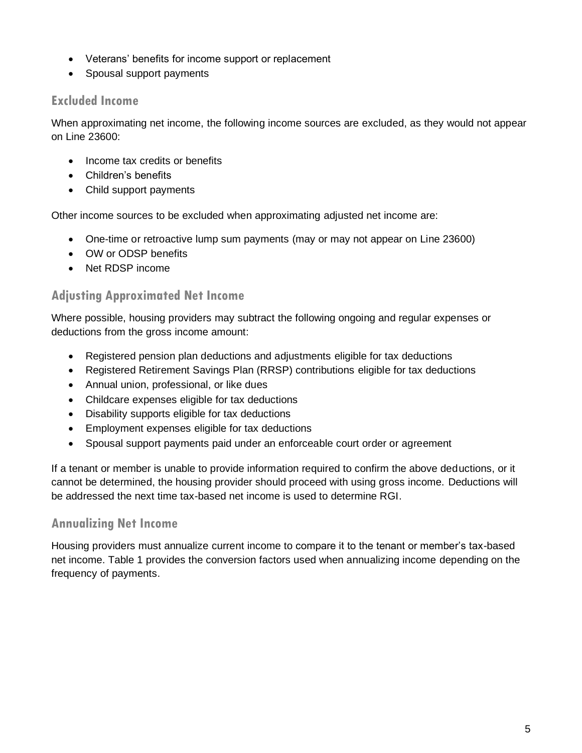- Veterans' benefits for income support or replacement
- Spousal support payments

#### **Excluded Income**

When approximating net income, the following income sources are excluded, as they would not appear on Line 23600:

- Income tax credits or benefits
- Children's benefits
- Child support payments

Other income sources to be excluded when approximating adjusted net income are:

- One-time or retroactive lump sum payments (may or may not appear on Line 23600)
- OW or ODSP benefits
- Net RDSP income

#### **Adjusting Approximated Net Income**

Where possible, housing providers may subtract the following ongoing and regular expenses or deductions from the gross income amount:

- Registered pension plan deductions and adjustments eligible for tax deductions
- Registered Retirement Savings Plan (RRSP) contributions eligible for tax deductions
- Annual union, professional, or like dues
- Childcare expenses eligible for tax deductions
- Disability supports eligible for tax deductions
- Employment expenses eligible for tax deductions
- Spousal support payments paid under an enforceable court order or agreement

If a tenant or member is unable to provide information required to confirm the above deductions, or it cannot be determined, the housing provider should proceed with using gross income. Deductions will be addressed the next time tax-based net income is used to determine RGI.

#### **Annualizing Net Income**

Housing providers must annualize current income to compare it to the tenant or member's tax-based net income. Table 1 provides the conversion factors used when annualizing income depending on the frequency of payments.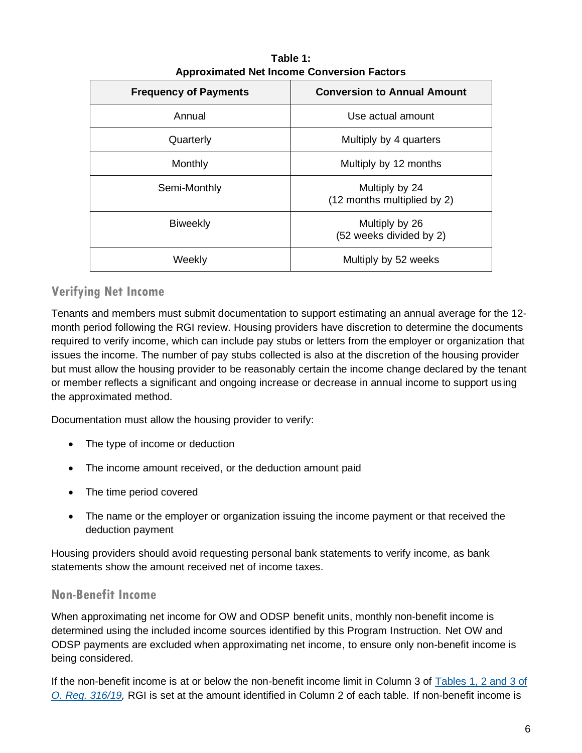| Table 1:                                          |
|---------------------------------------------------|
| <b>Approximated Net Income Conversion Factors</b> |

| <b>Frequency of Payments</b> | <b>Conversion to Annual Amount</b>            |
|------------------------------|-----------------------------------------------|
| Annual                       | Use actual amount                             |
| Quarterly                    | Multiply by 4 quarters                        |
| Monthly                      | Multiply by 12 months                         |
| Semi-Monthly                 | Multiply by 24<br>(12 months multiplied by 2) |
| <b>Biweekly</b>              | Multiply by 26<br>(52 weeks divided by 2)     |
| Weekly                       | Multiply by 52 weeks                          |

#### **Verifying Net Income**

Tenants and members must submit documentation to support estimating an annual average for the 12 month period following the RGI review. Housing providers have discretion to determine the documents required to verify income, which can include pay stubs or letters from the employer or organization that issues the income. The number of pay stubs collected is also at the discretion of the housing provider but must allow the housing provider to be reasonably certain the income change declared by the tenant or member reflects a significant and ongoing increase or decrease in annual income to support using the approximated method.

Documentation must allow the housing provider to verify:

- The type of income or deduction
- The income amount received, or the deduction amount paid
- The time period covered
- The name or the employer or organization issuing the income payment or that received the deduction payment

Housing providers should avoid requesting personal bank statements to verify income, as bank statements show the amount received net of income taxes.

#### **Non-Benefit Income**

When approximating net income for OW and ODSP benefit units, monthly non-benefit income is determined using the included income sources identified by this Program Instruction. Net OW and ODSP payments are excluded when approximating net income, to ensure only non-benefit income is being considered.

If the non-benefit income is at or below the non-benefit income limit in Column 3 of [Tables 1, 2 and 3 of](https://www.ontario.ca/laws/regulation/r19316#BK11)  *[O. Reg. 316/19,](https://www.ontario.ca/laws/regulation/r19316#BK11)* RGI is set at the amount identified in Column 2 of each table. If non-benefit income is